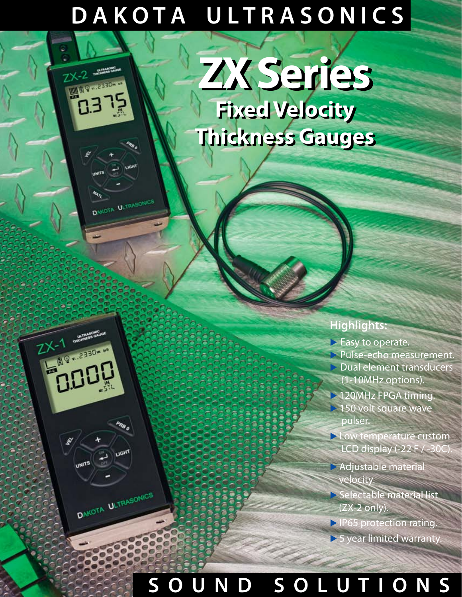## **D A K O T A U L T R A S O N I C S**

**MILLES ... PRIME** 

ter<sub>77</sub>

 $7x-1$   $m = 2330m$ 

 $X-1$ 

₽

**ADOR** 

**UNITS** 

DAKOTA ULTRASONICS

PRB 0

DAKOTA ULTRASONICS

# **Fixed Velocity Fixed Velocity Thickness Gauges Thickness Gauges ZX Series ZX Series**

### **Highlights:**

- **Easy** to operate.
- ▶ Pulse-echo measurement. ▶ Dual element transducers (1-10MHz options).
- ▶ 120MHz FPGA timing.  $\geq$  150 volt square wave pulser.
- ▶ Low temperature custom LCD display  $(-22)$  F  $/3$
- ▶ Adjustable material velocity.
- ▶ Selectable material list (ZX-2 only).
- ▶ IP65 protection rating.
- ▶ 5 year limited warranty.

## **S O U N D S O L U T I O N S**